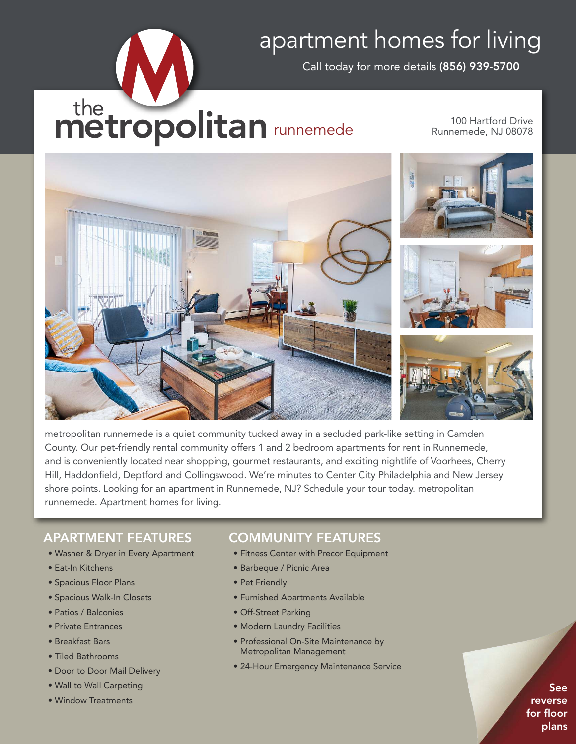## apartment homes for living

Call today for more details (856) 939-5700

# the metropolitan runnemede

100 Hartford Drive Runnemede, NJ 08078



metropolitan runnemede is a quiet community tucked away in a secluded park-like setting in Camden County. Our pet-friendly rental community offers 1 and 2 bedroom apartments for rent in Runnemede, and is conveniently located near shopping, gourmet restaurants, and exciting nightlife of Voorhees, Cherry Hill, Haddonfield, Deptford and Collingswood. We're minutes to Center City Philadelphia and New Jersey shore points. Looking for an apartment in Runnemede, NJ? Schedule your tour today. metropolitan runnemede. Apartment homes for living.

### APARTMENT FEATURES

- Washer & Dryer in Every Apartment
- Eat-In Kitchens
- Spacious Floor Plans
- Spacious Walk-In Closets
- Patios / Balconies
- Private Entrances
- Breakfast Bars
- Tiled Bathrooms
- Door to Door Mail Delivery
- Wall to Wall Carpeting
- Window Treatments

#### COMMUNITY FEATURES

- Fitness Center with Precor Equipment
- Barbeque / Picnic Area
- Pet Friendly
- Furnished Apartments Available
- Off-Street Parking
- Modern Laundry Facilities
- Professional On-Site Maintenance by Metropolitan Management
- 24-Hour Emergency Maintenance Service

See reverse for floor plans